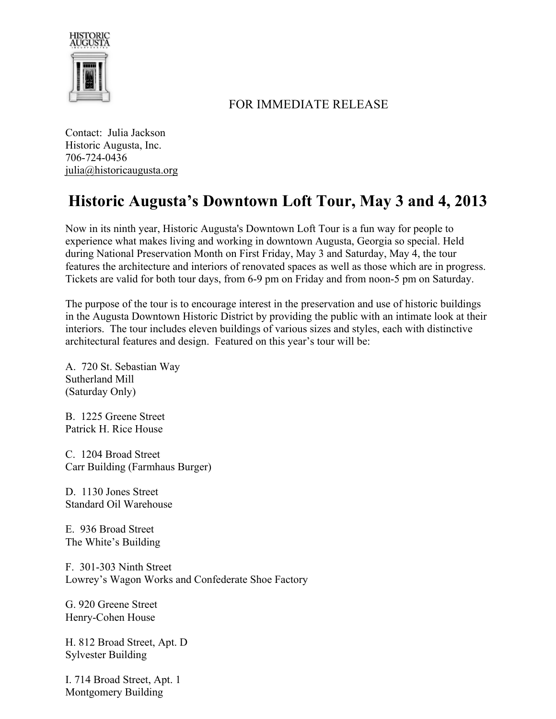

## FOR IMMEDIATE RELEASE

Contact: Julia Jackson Historic Augusta, Inc. 706-724-0436 julia@historicaugusta.org

## **Historic Augusta's Downtown Loft Tour, May 3 and 4, 2013**

Now in its ninth year, Historic Augusta's Downtown Loft Tour is a fun way for people to experience what makes living and working in downtown Augusta, Georgia so special. Held during National Preservation Month on First Friday, May 3 and Saturday, May 4, the tour features the architecture and interiors of renovated spaces as well as those which are in progress. Tickets are valid for both tour days, from 6-9 pm on Friday and from noon-5 pm on Saturday.

The purpose of the tour is to encourage interest in the preservation and use of historic buildings in the Augusta Downtown Historic District by providing the public with an intimate look at their interiors. The tour includes eleven buildings of various sizes and styles, each with distinctive architectural features and design. Featured on this year's tour will be:

A. 720 St. Sebastian Way Sutherland Mill (Saturday Only)

B. 1225 Greene Street Patrick H. Rice House

C. 1204 Broad Street Carr Building (Farmhaus Burger)

D. 1130 Jones Street Standard Oil Warehouse

E. 936 Broad Street The White's Building

F. 301-303 Ninth Street Lowrey's Wagon Works and Confederate Shoe Factory

G. 920 Greene Street Henry-Cohen House

H. 812 Broad Street, Apt. D Sylvester Building

I. 714 Broad Street, Apt. 1 Montgomery Building